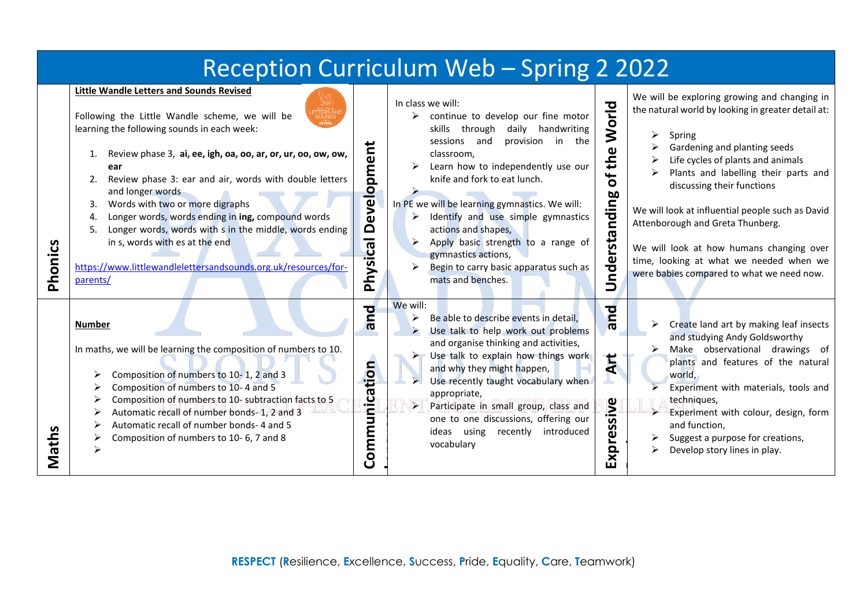| Reception Curriculum Web - Spring 2 2022 |                                                                                                                                                                                                                                                                                                                                                                                                                                                                                                                                                                                                                                             |  |                                                                                                                                                                                                                                                                                                                                                                                                                                                                                                 |                                                                                  |                                                                                                                                                                                                                                                                                                                                                                                                                                                                                          |
|------------------------------------------|---------------------------------------------------------------------------------------------------------------------------------------------------------------------------------------------------------------------------------------------------------------------------------------------------------------------------------------------------------------------------------------------------------------------------------------------------------------------------------------------------------------------------------------------------------------------------------------------------------------------------------------------|--|-------------------------------------------------------------------------------------------------------------------------------------------------------------------------------------------------------------------------------------------------------------------------------------------------------------------------------------------------------------------------------------------------------------------------------------------------------------------------------------------------|----------------------------------------------------------------------------------|------------------------------------------------------------------------------------------------------------------------------------------------------------------------------------------------------------------------------------------------------------------------------------------------------------------------------------------------------------------------------------------------------------------------------------------------------------------------------------------|
| Phonics                                  | <b>Little Wandle Letters and Sounds Revised</b><br>Following the Little Wandle scheme, we will be<br>learning the following sounds in each week:<br>evelopment<br>Review phase 3, ai, ee, igh, oa, oo, ar, or, ur, oo, ow, ow,<br>1.<br>ear<br>Review phase 3: ear and air, words with double letters<br>2.<br>and longer words<br>Words with two or more digraphs<br>3.<br>Longer words, words ending in ing, compound words<br>4.<br>$\Delta$<br>Longer words, words with s in the middle, words ending<br>5.<br>Physical<br>in s, words with es at the end<br>https://www.littlewandlelettersandsounds.org.uk/resources/for-<br>parents/ |  | In class we will:<br>continue to develop our fine motor<br>skills through<br>daily handwriting<br>sessions and<br>provision in the<br>classroom.<br>Learn how to independently use our<br>knife and fork to eat lunch.<br>In PE we will be learning gymnastics. We will:<br>Identify and use simple gymnastics<br>➤<br>actions and shapes,<br>Apply basic strength to a range of<br>gymnastics actions,<br>$\blacktriangleright$<br>Begin to carry basic apparatus such as<br>mats and benches. | 근<br><b>Nol</b><br>the<br>ð<br>nding<br>rsta<br>ndei<br>$\overline{\phantom{0}}$ | We will be exploring growing and changing in<br>the natural world by looking in greater detail at:<br>⋗<br>Spring<br>Gardening and planting seeds<br>Life cycles of plants and animals<br>Plants and labelling their parts and<br>discussing their functions<br>We will look at influential people such as David<br>Attenborough and Greta Thunberg.<br>We will look at how humans changing over<br>time, looking at what we needed when we<br>were babies compared to what we need now. |
| Maths                                    | <b>p</b><br><b>Number</b><br>$\boldsymbol{\sigma}$<br>In maths, we will be learning the composition of numbers to 10.<br>tion<br>Composition of numbers to 10-1, 2 and 3<br>Composition of numbers to 10-4 and 5<br>Communica<br>Composition of numbers to 10- subtraction facts to 5<br>Automatic recall of number bonds- 1, 2 and 3<br>Automatic recall of number bonds-4 and 5<br>Composition of numbers to 10-6, 7 and 8                                                                                                                                                                                                                |  | We will:<br>Be able to describe events in detail,<br>➤<br>Use talk to help work out problems<br>$\blacktriangleright$<br>and organise thinking and activities,<br>$\triangleright$ Use talk to explain how things work<br>and why they might happen,<br>Use recently taught vocabulary when<br>appropriate,<br>$\blacktriangleright$<br>Participate in small group, class and<br>one to one discussions, offering our<br>ideas using<br>recently<br>introduced<br>vocabulary                    | bue<br>Art<br>ssive<br><b>Expres</b>                                             | Create land art by making leaf insects<br>and studying Andy Goldsworthy<br>Make observational drawings of<br>plants and features of the natural<br>world.<br>Experiment with materials, tools and<br>techniques,<br>$\blacktriangleright$<br>Experiment with colour, design, form<br>and function,<br>Suggest a purpose for creations,<br>Develop story lines in play.                                                                                                                   |